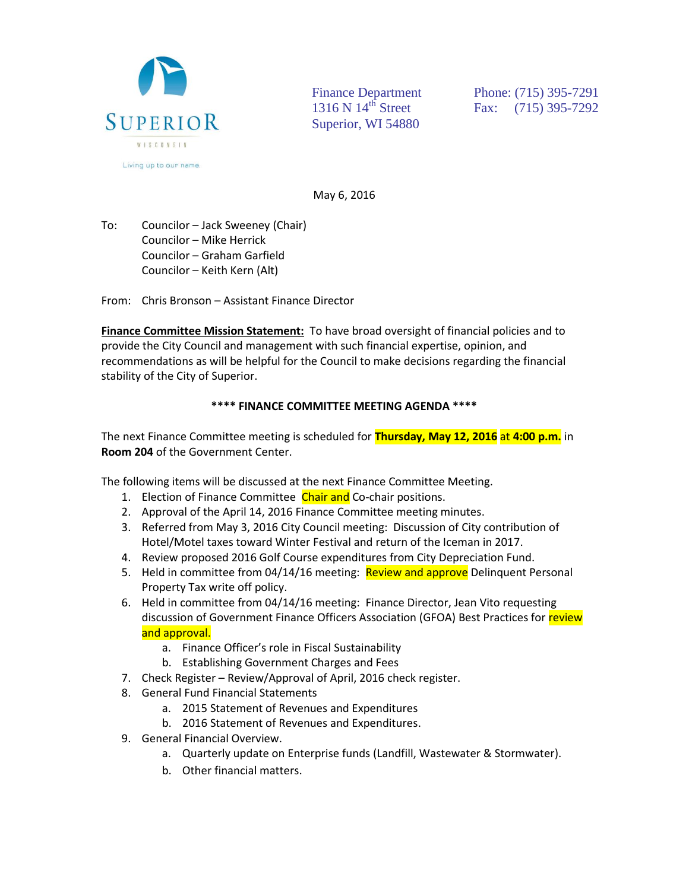

Superior, WI 54880

Finance Department Phone: (715) 395-7291 1316 N 14<sup>th</sup> Street Fax: (715) 395-7292

May 6, 2016

To: Councilor – Jack Sweeney (Chair) Councilor – Mike Herrick Councilor – Graham Garfield Councilor – Keith Kern (Alt)

From: Chris Bronson – Assistant Finance Director

**Finance Committee Mission Statement:** To have broad oversight of financial policies and to provide the City Council and management with such financial expertise, opinion, and recommendations as will be helpful for the Council to make decisions regarding the financial stability of the City of Superior.

## **\*\*\*\* FINANCE COMMITTEE MEETING AGENDA \*\*\*\***

The next Finance Committee meeting is scheduled for **Thursday, May 12, 2016** at **4:00 p.m.** in **Room 204** of the Government Center.

The following items will be discussed at the next Finance Committee Meeting.

- 1. Election of Finance Committee Chair and Co-chair positions.
- 2. Approval of the April 14, 2016 Finance Committee meeting minutes.
- 3. Referred from May 3, 2016 City Council meeting: Discussion of City contribution of Hotel/Motel taxes toward Winter Festival and return of the Iceman in 2017.
- 4. Review proposed 2016 Golf Course expenditures from City Depreciation Fund.
- 5. Held in committee from 04/14/16 meeting: Review and approve Delinquent Personal Property Tax write off policy.
- 6. Held in committee from 04/14/16 meeting: Finance Director, Jean Vito requesting discussion of Government Finance Officers Association (GFOA) Best Practices for review and approval.
	- a. Finance Officer's role in Fiscal Sustainability
	- b. Establishing Government Charges and Fees
- 7. Check Register Review/Approval of April, 2016 check register.
- 8. General Fund Financial Statements
	- a. 2015 Statement of Revenues and Expenditures
	- b. 2016 Statement of Revenues and Expenditures.
- 9. General Financial Overview.
	- a. Quarterly update on Enterprise funds (Landfill, Wastewater & Stormwater).
	- b. Other financial matters.